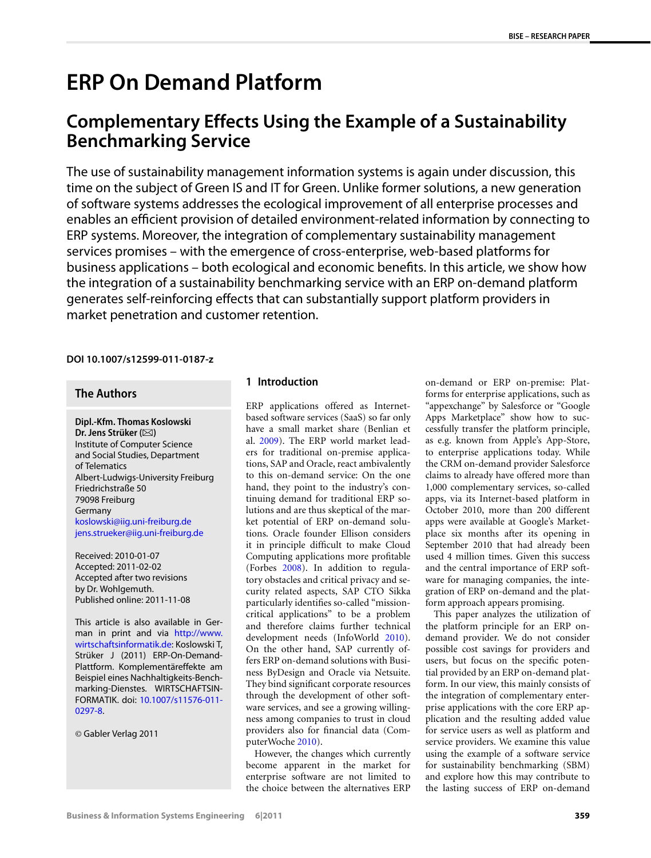# **ERP On Demand Platform**

# **Complementary Effects Using the Example of a Sustainability Benchmarking Service**

The use of sustainability management information systems is again under discussion, this time on the subject of Green IS and IT for Green. Unlike former solutions, a new generation of software systems addresses the ecological improvement of all enterprise processes and enables an efficient provision of detailed environment-related information by connecting to ERP systems. Moreover, the integration of complementary sustainability management services promises – with the emergence of cross-enterprise, web-based platforms for business applications – both ecological and economic benefits. In this article, we show how the integration of a sustainability benchmarking service with an ERP on-demand platform generates self-reinforcing effects that can substantially support platform providers in market penetration and customer retention.

# **DOI 10.1007/s12599-011-0187-z**

# **The Authors**

**Dipl.-Kfm. Thomas Koslowski Dr. Jens Strüker (⊠)** Institute of Computer Science and Social Studies, Department of Telematics Albert-Ludwigs-University Freiburg Friedrichstraße 50 79098 Freiburg Germany [koslowski@iig.uni-freiburg.de](mailto:koslowski@iig.uni-freiburg.de) [jens.strueker@iig.uni-freiburg.de](mailto:jens.strueker@iig.uni-freiburg.de)

Received: 2010-01-07 Accepted: 2011-02-02 Accepted after two revisions by Dr. Wohlgemuth. Published online: 2011-11-08

This article is also available in German in print and via [http://www.](http://www.wirtschaftsinformatik.de) [wirtschaftsinformatik.de:](http://www.wirtschaftsinformatik.de) Koslowski T, Strüker J (2011) ERP-On-Demand-Plattform. Komplementäreffekte am Beispiel eines Nachhaltigkeits-Benchmarking-Dienstes. WIRTSCHAFTSIN-FORMATIK. doi: [10.1007/s11576-011-](http://dx.doi.org/10.1007/s11576-011-0297-8) [0297-8.](http://dx.doi.org/10.1007/s11576-011-0297-8)

© Gabler Verlag 2011

# **1 Introduction**

ERP applications offered as Internetbased software services (SaaS) so far only have a small market share (Benlian et al. [2009\)](#page-7-0). The ERP world market leaders for traditional on-premise applications, SAP and Oracle, react ambivalently to this on-demand service: On the one hand, they point to the industry's continuing demand for traditional ERP solutions and are thus skeptical of the market potential of ERP on-demand solutions. Oracle founder Ellison considers it in principle difficult to make Cloud Computing applications more profitable (Forbes [2008](#page-7-1)). In addition to regulatory obstacles and critical privacy and security related aspects, SAP CTO Sikka particularly identifies so-called "missioncritical applications" to be a problem and therefore claims further technical development needs (InfoWorld [2010](#page-7-2)). On the other hand, SAP currently offers ERP on-demand solutions with Business ByDesign and Oracle via Netsuite. They bind significant corporate resources through the development of other software services, and see a growing willingness among companies to trust in cloud providers also for financial data (ComputerWoche [2010](#page-7-3)).

However, the changes which currently become apparent in the market for enterprise software are not limited to the choice between the alternatives ERP on-demand or ERP on-premise: Platforms for enterprise applications, such as "appexchange" by Salesforce or "Google Apps Marketplace" show how to successfully transfer the platform principle, as e.g. known from Apple's App-Store, to enterprise applications today. While the CRM on-demand provider Salesforce claims to already have offered more than 1,000 complementary services, so-called apps, via its Internet-based platform in October 2010, more than 200 different apps were available at Google's Marketplace six months after its opening in September 2010 that had already been used 4 million times. Given this success and the central importance of ERP software for managing companies, the integration of ERP on-demand and the platform approach appears promising.

This paper analyzes the utilization of the platform principle for an ERP ondemand provider. We do not consider possible cost savings for providers and users, but focus on the specific potential provided by an ERP on-demand platform. In our view, this mainly consists of the integration of complementary enterprise applications with the core ERP application and the resulting added value for service users as well as platform and service providers. We examine this value using the example of a software service for sustainability benchmarking (SBM) and explore how this may contribute to the lasting success of ERP on-demand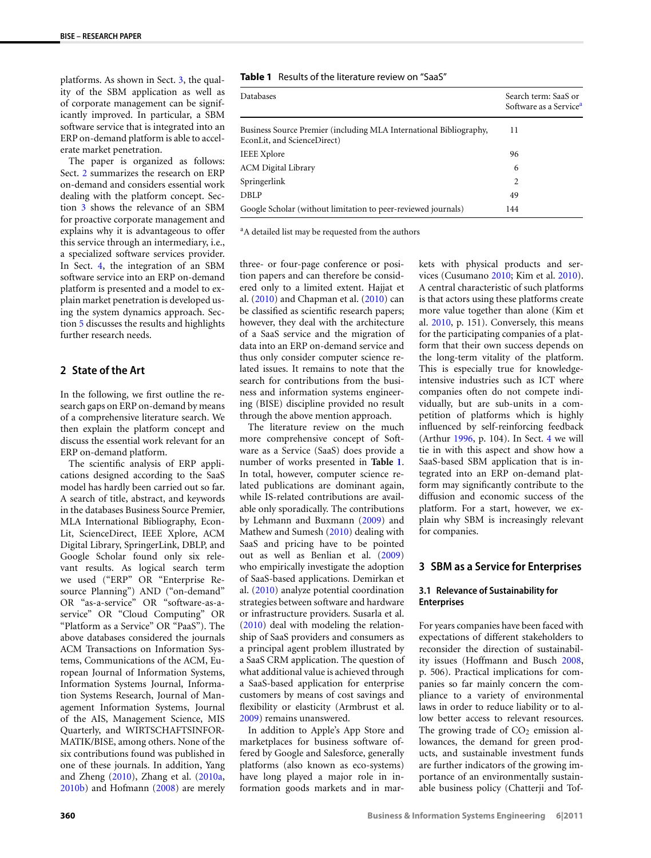platforms. As shown in Sect. [3,](#page-1-0) the quality of the SBM application as well as of corporate management can be significantly improved. In particular, a SBM software service that is integrated into an ERP on-demand platform is able to accelerate market penetration.

The paper is organized as follows: Sect. [2](#page-1-1) summarizes the research on ERP on-demand and considers essential work dealing with the platform concept. Section [3](#page-1-0) shows the relevance of an SBM for proactive corporate management and explains why it is advantageous to offer this service through an intermediary, i.e., a specialized software services provider. In Sect. [4,](#page-3-0) the integration of an SBM software service into an ERP on-demand platform is presented and a model to explain market penetration is developed using the system dynamics approach. Section [5](#page-6-0) discusses the results and highlights further research needs.

#### <span id="page-1-1"></span>**2 State of the Art**

In the following, we first outline the research gaps on ERP on-demand by means of a comprehensive literature search. We then explain the platform concept and discuss the essential work relevant for an ERP on-demand platform.

The scientific analysis of ERP applications designed according to the SaaS model has hardly been carried out so far. A search of title, abstract, and keywords in the databases Business Source Premier, MLA International Bibliography, Econ-Lit, ScienceDirect, IEEE Xplore, ACM Digital Library, SpringerLink, DBLP, and Google Scholar found only six relevant results. As logical search term we used ("ERP" OR "Enterprise Resource Planning") AND ("on-demand" OR "as-a-service" OR "software-as-aservice" OR "Cloud Computing" OR "Platform as a Service" OR "PaaS"). The above databases considered the journals ACM Transactions on Information Systems, Communications of the ACM, European Journal of Information Systems, Information Systems Journal, Information Systems Research, Journal of Management Information Systems, Journal of the AIS, Management Science, MIS Quarterly, and WIRTSCHAFTSINFOR-MATIK/BISE, among others. None of the six contributions found was published in one of these journals. In addition, Yang and Zheng ([2010\)](#page-8-0), Zhang et al. [\(2010a,](#page-8-1) [2010b\)](#page-8-2) and Hofmann [\(2008](#page-7-4)) are merely

#### <span id="page-1-3"></span>**Table 1** Results of the literature review on "SaaS"

<span id="page-1-2"></span>

| Databases                                                                                         | Search term: SaaS or<br>Software as a Service <sup>a</sup> |
|---------------------------------------------------------------------------------------------------|------------------------------------------------------------|
| Business Source Premier (including MLA International Bibliography,<br>EconLit, and ScienceDirect) | 11                                                         |
| <b>IEEE Xplore</b>                                                                                | 96                                                         |
| ACM Digital Library                                                                               | 6                                                          |
| Springerlink                                                                                      | 2                                                          |
| DBLP                                                                                              | 49                                                         |
| Google Scholar (without limitation to peer-reviewed journals)                                     | 144                                                        |

<sup>a</sup>A detailed list may be requested from the authors

three- or four-page conference or position papers and can therefore be considered only to a limited extent. Hajjat et al. [\(2010\)](#page-7-5) and Chapman et al. ([2010](#page-7-6)) can be classified as scientific research papers; however, they deal with the architecture of a SaaS service and the migration of data into an ERP on-demand service and thus only consider computer science related issues. It remains to note that the search for contributions from the business and information systems engineering (BISE) discipline provided no result through the above mention approach.

The literature review on the much more comprehensive concept of Software as a Service (SaaS) does provide a number of works presented in **Table [1](#page-1-3)**. In total, however, computer science related publications are dominant again, while IS-related contributions are available only sporadically. The contributions by Lehmann and Buxmann [\(2009](#page-8-3)) and Mathew and Sumesh ([2010\)](#page-8-4) dealing with SaaS and pricing have to be pointed out as well as Benlian et al. [\(2009](#page-7-0)) who empirically investigate the adoption of SaaS-based applications. Demirkan et al. ([2010\)](#page-7-7) analyze potential coordination strategies between software and hardware or infrastructure providers. Susarla et al. [\(2010\)](#page-8-5) deal with modeling the relationship of SaaS providers and consumers as a principal agent problem illustrated by a SaaS CRM application. The question of what additional value is achieved through a SaaS-based application for enterprise customers by means of cost savings and flexibility or elasticity (Armbrust et al. [2009](#page-7-8)) remains unanswered.

In addition to Apple's App Store and marketplaces for business software offered by Google and Salesforce, generally platforms (also known as eco-systems) have long played a major role in information goods markets and in mar-

kets with physical products and services (Cusumano [2010](#page-7-9); Kim et al. [2010](#page-7-10)). A central characteristic of such platforms is that actors using these platforms create more value together than alone (Kim et al. [2010,](#page-7-10) p. 151). Conversely, this means for the participating companies of a platform that their own success depends on the long-term vitality of the platform. This is especially true for knowledgeintensive industries such as ICT where companies often do not compete individually, but are sub-units in a competition of platforms which is highly influenced by self-reinforcing feedback (Arthur [1996,](#page-7-11) p. 104). In Sect. [4](#page-3-0) we will tie in with this aspect and show how a SaaS-based SBM application that is integrated into an ERP on-demand platform may significantly contribute to the diffusion and economic success of the platform. For a start, however, we explain why SBM is increasingly relevant for companies.

#### <span id="page-1-0"></span>**3 SBM as a Service for Enterprises**

#### **3.1 Relevance of Sustainability for Enterprises**

For years companies have been faced with expectations of different stakeholders to reconsider the direction of sustainability issues (Hoffmann and Busch [2008,](#page-7-12) p. 506). Practical implications for companies so far mainly concern the compliance to a variety of environmental laws in order to reduce liability or to allow better access to relevant resources. The growing trade of  $CO<sub>2</sub>$  emission allowances, the demand for green products, and sustainable investment funds are further indicators of the growing importance of an environmentally sustainable business policy (Chatterji and Tof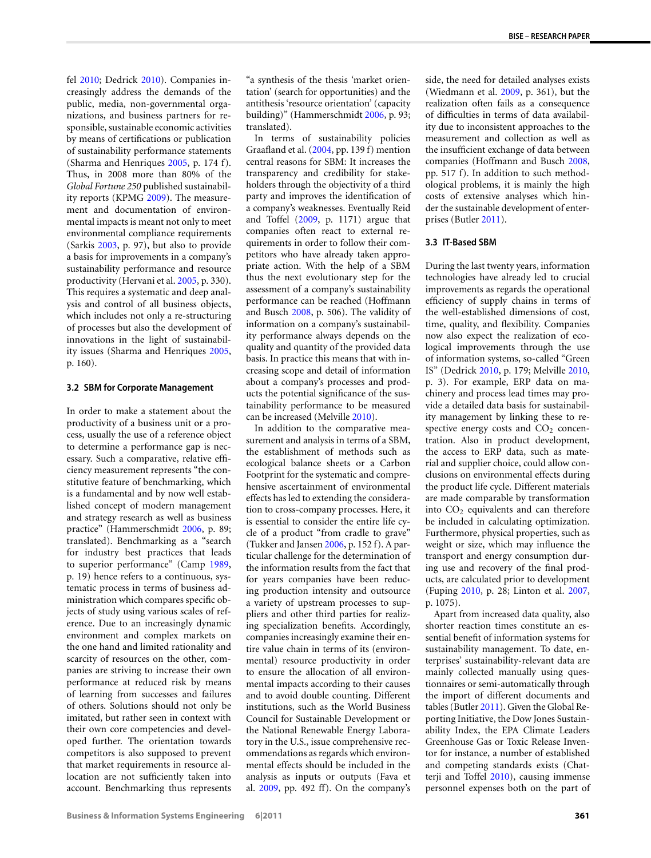fel [2010](#page-7-13); Dedrick [2010](#page-7-14)). Companies increasingly address the demands of the public, media, non-governmental organizations, and business partners for responsible, sustainable economic activities by means of certifications or publication of sustainability performance statements (Sharma and Henriques [2005,](#page-8-6) p. 174 f). Thus, in 2008 more than 80% of the *Global Fortune 250* published sustainability reports (KPMG [2009\)](#page-8-7). The measurement and documentation of environmental impacts is meant not only to meet environmental compliance requirements (Sarkis [2003](#page-8-8), p. 97), but also to provide a basis for improvements in a company's sustainability performance and resource productivity (Hervani et al. [2005](#page-7-15), p. 330). This requires a systematic and deep analysis and control of all business objects, which includes not only a re-structuring of processes but also the development of innovations in the light of sustainability issues (Sharma and Henriques [2005,](#page-8-6) p. 160).

#### **3.2 SBM for Corporate Management**

In order to make a statement about the productivity of a business unit or a process, usually the use of a reference object to determine a performance gap is necessary. Such a comparative, relative efficiency measurement represents "the constitutive feature of benchmarking, which is a fundamental and by now well established concept of modern management and strategy research as well as business practice" (Hammerschmidt [2006](#page-7-16), p. 89; translated). Benchmarking as a "search for industry best practices that leads to superior performance" (Camp [1989,](#page-7-17) p. 19) hence refers to a continuous, systematic process in terms of business administration which compares specific objects of study using various scales of reference. Due to an increasingly dynamic environment and complex markets on the one hand and limited rationality and scarcity of resources on the other, companies are striving to increase their own performance at reduced risk by means of learning from successes and failures of others. Solutions should not only be imitated, but rather seen in context with their own core competencies and developed further. The orientation towards competitors is also supposed to prevent that market requirements in resource allocation are not sufficiently taken into account. Benchmarking thus represents

"a synthesis of the thesis 'market orientation' (search for opportunities) and the antithesis 'resource orientation' (capacity building)" (Hammerschmidt [2006](#page-7-16), p. 93; translated).

In terms of sustainability policies Graafland et al. [\(2004](#page-7-18), pp. 139 f) mention central reasons for SBM: It increases the transparency and credibility for stakeholders through the objectivity of a third party and improves the identification of a company's weaknesses. Eventually Reid and Toffel [\(2009](#page-8-9), p. 1171) argue that companies often react to external requirements in order to follow their competitors who have already taken appropriate action. With the help of a SBM thus the next evolutionary step for the assessment of a company's sustainability performance can be reached (Hoffmann and Busch [2008](#page-7-12), p. 506). The validity of information on a company's sustainability performance always depends on the quality and quantity of the provided data basis. In practice this means that with increasing scope and detail of information about a company's processes and products the potential significance of the sustainability performance to be measured can be increased (Melville [2010](#page-8-10)).

In addition to the comparative measurement and analysis in terms of a SBM, the establishment of methods such as ecological balance sheets or a Carbon Footprint for the systematic and comprehensive ascertainment of environmental effects has led to extending the consideration to cross-company processes. Here, it is essential to consider the entire life cycle of a product "from cradle to grave" (Tukker and Jansen [2006](#page-8-11), p. 152 f). A particular challenge for the determination of the information results from the fact that for years companies have been reducing production intensity and outsource a variety of upstream processes to suppliers and other third parties for realizing specialization benefits. Accordingly, companies increasingly examine their entire value chain in terms of its (environmental) resource productivity in order to ensure the allocation of all environmental impacts according to their causes and to avoid double counting. Different institutions, such as the World Business Council for Sustainable Development or the National Renewable Energy Laboratory in the U.S., issue comprehensive recommendations as regards which environmental effects should be included in the analysis as inputs or outputs (Fava et al. [2009](#page-7-19), pp. 492 ff). On the company's

side, the need for detailed analyses exists (Wiedmann et al. [2009](#page-8-12), p. 361), but the realization often fails as a consequence of difficulties in terms of data availability due to inconsistent approaches to the measurement and collection as well as the insufficient exchange of data between companies (Hoffmann and Busch [2008,](#page-7-12) pp. 517 f). In addition to such methodological problems, it is mainly the high costs of extensive analyses which hinder the sustainable development of enterprises (Butler [2011](#page-7-20)).

#### **3.3 IT-Based SBM**

During the last twenty years, information technologies have already led to crucial improvements as regards the operational efficiency of supply chains in terms of the well-established dimensions of cost, time, quality, and flexibility. Companies now also expect the realization of ecological improvements through the use of information systems, so-called "Green IS" (Dedrick [2010,](#page-7-14) p. 179; Melville [2010,](#page-8-10) p. 3). For example, ERP data on machinery and process lead times may provide a detailed data basis for sustainability management by linking these to respective energy costs and  $CO<sub>2</sub>$  concentration. Also in product development, the access to ERP data, such as material and supplier choice, could allow conclusions on environmental effects during the product life cycle. Different materials are made comparable by transformation into  $CO<sub>2</sub>$  equivalents and can therefore be included in calculating optimization. Furthermore, physical properties, such as weight or size, which may influence the transport and energy consumption during use and recovery of the final products, are calculated prior to development (Fuping [2010,](#page-7-21) p. 28; Linton et al. [2007,](#page-8-13) p. 1075).

Apart from increased data quality, also shorter reaction times constitute an essential benefit of information systems for sustainability management. To date, enterprises' sustainability-relevant data are mainly collected manually using questionnaires or semi-automatically through the import of different documents and tables (Butler [2011\)](#page-7-20). Given the Global Reporting Initiative, the Dow Jones Sustainability Index, the EPA Climate Leaders Greenhouse Gas or Toxic Release Inventor for instance, a number of established and competing standards exists (Chatterji and Toffel [2010](#page-7-13)), causing immense personnel expenses both on the part of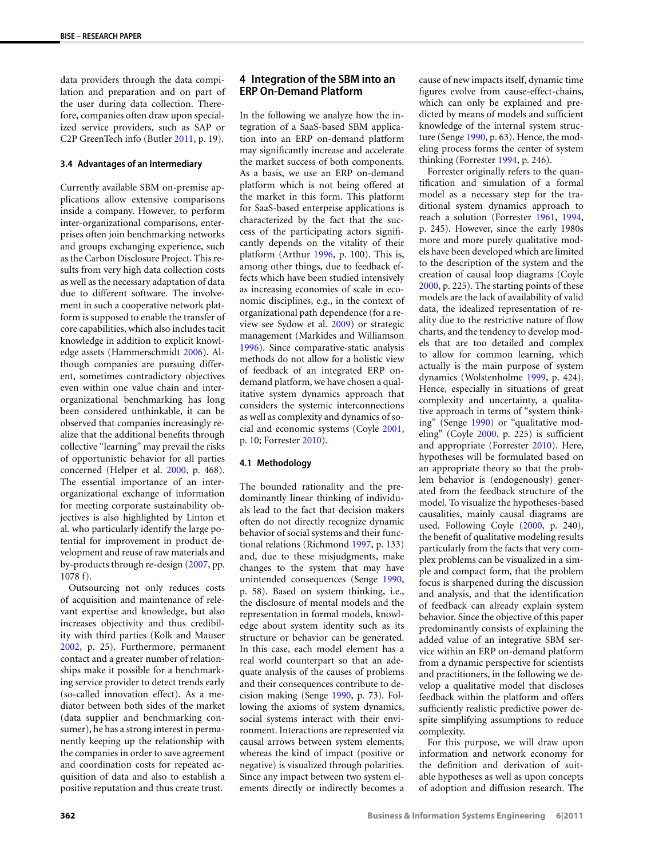data providers through the data compilation and preparation and on part of the user during data collection. Therefore, companies often draw upon specialized service providers, such as SAP or C2P GreenTech info (Butler [2011](#page-7-20), p. 19).

#### **3.4 Advantages of an Intermediary**

Currently available SBM on-premise applications allow extensive comparisons inside a company. However, to perform inter-organizational comparisons, enterprises often join benchmarking networks and groups exchanging experience, such as the Carbon Disclosure Project. This results from very high data collection costs as well as the necessary adaptation of data due to different software. The involvement in such a cooperative network platform is supposed to enable the transfer of core capabilities, which also includes tacit knowledge in addition to explicit knowledge assets (Hammerschmidt [2006](#page-7-16)). Although companies are pursuing different, sometimes contradictory objectives even within one value chain and interorganizational benchmarking has long been considered unthinkable, it can be observed that companies increasingly realize that the additional benefits through collective "learning" may prevail the risks of opportunistic behavior for all parties concerned (Helper et al. [2000](#page-7-22), p. 468). The essential importance of an interorganizational exchange of information for meeting corporate sustainability objectives is also highlighted by Linton et al. who particularly identify the large potential for improvement in product development and reuse of raw materials and by-products through re-design ([2007,](#page-8-13) pp. 1078 f).

Outsourcing not only reduces costs of acquisition and maintenance of relevant expertise and knowledge, but also increases objectivity and thus credibility with third parties (Kolk and Mauser [2002](#page-8-14), p. 25). Furthermore, permanent contact and a greater number of relationships make it possible for a benchmarking service provider to detect trends early (so-called innovation effect). As a mediator between both sides of the market (data supplier and benchmarking consumer), he has a strong interest in permanently keeping up the relationship with the companies in order to save agreement and coordination costs for repeated acquisition of data and also to establish a positive reputation and thus create trust.

## <span id="page-3-0"></span>**4 Integration of the SBM into an ERP On-Demand Platform**

In the following we analyze how the integration of a SaaS-based SBM application into an ERP on-demand platform may significantly increase and accelerate the market success of both components. As a basis, we use an ERP on-demand platform which is not being offered at the market in this form. This platform for SaaS-based enterprise applications is characterized by the fact that the success of the participating actors significantly depends on the vitality of their platform (Arthur [1996,](#page-7-11) p. 100). This is, among other things, due to feedback effects which have been studied intensively as increasing economies of scale in economic disciplines, e.g., in the context of organizational path dependence (for a review see Sydow et al. [2009](#page-8-15)) or strategic management (Markides and Williamson [1996](#page-8-16)). Since comparative-static analysis methods do not allow for a holistic view of feedback of an integrated ERP ondemand platform, we have chosen a qualitative system dynamics approach that considers the systemic interconnections as well as complexity and dynamics of social and economic systems (Coyle [2001,](#page-7-23) p. 10; Forrester [2010](#page-7-24)).

#### **4.1 Methodology**

The bounded rationality and the predominantly linear thinking of individuals lead to the fact that decision makers often do not directly recognize dynamic behavior of social systems and their functional relations (Richmond [1997,](#page-8-17) p. 133) and, due to these misjudgments, make changes to the system that may have unintended consequences (Senge [1990,](#page-8-18) p. 58). Based on system thinking, i.e., the disclosure of mental models and the representation in formal models, knowledge about system identity such as its structure or behavior can be generated. In this case, each model element has a real world counterpart so that an adequate analysis of the causes of problems and their consequences contribute to decision making (Senge [1990,](#page-8-18) p. 73). Following the axioms of system dynamics, social systems interact with their environment. Interactions are represented via causal arrows between system elements, whereas the kind of impact (positive or negative) is visualized through polarities. Since any impact between two system elements directly or indirectly becomes a

cause of new impacts itself, dynamic time figures evolve from cause-effect-chains, which can only be explained and predicted by means of models and sufficient knowledge of the internal system structure (Senge [1990](#page-8-18), p. 63). Hence, the modeling process forms the center of system thinking (Forrester [1994](#page-7-25), p. 246).

Forrester originally refers to the quantification and simulation of a formal model as a necessary step for the traditional system dynamics approach to reach a solution (Forrester [1961](#page-7-26), [1994,](#page-7-25) p. 245). However, since the early 1980s more and more purely qualitative models have been developed which are limited to the description of the system and the creation of causal loop diagrams (Coyle [2000](#page-7-27), p. 225). The starting points of these models are the lack of availability of valid data, the idealized representation of reality due to the restrictive nature of flow charts, and the tendency to develop models that are too detailed and complex to allow for common learning, which actually is the main purpose of system dynamics (Wolstenholme [1999](#page-8-19), p. 424). Hence, especially in situations of great complexity and uncertainty, a qualitative approach in terms of "system thinking" (Senge [1990](#page-8-18)) or "qualitative modeling" (Coyle [2000,](#page-7-27) p. 225) is sufficient and appropriate (Forrester [2010](#page-7-24)). Here, hypotheses will be formulated based on an appropriate theory so that the problem behavior is (endogenously) generated from the feedback structure of the model. To visualize the hypotheses-based causalities, mainly causal diagrams are used. Following Coyle ([2000](#page-7-27), p. 240), the benefit of qualitative modeling results particularly from the facts that very complex problems can be visualized in a simple and compact form, that the problem focus is sharpened during the discussion and analysis, and that the identification of feedback can already explain system behavior. Since the objective of this paper predominantly consists of explaining the added value of an integrative SBM service within an ERP on-demand platform from a dynamic perspective for scientists and practitioners, in the following we develop a qualitative model that discloses feedback within the platform and offers sufficiently realistic predictive power despite simplifying assumptions to reduce complexity.

For this purpose, we will draw upon information and network economy for the definition and derivation of suitable hypotheses as well as upon concepts of adoption and diffusion research. The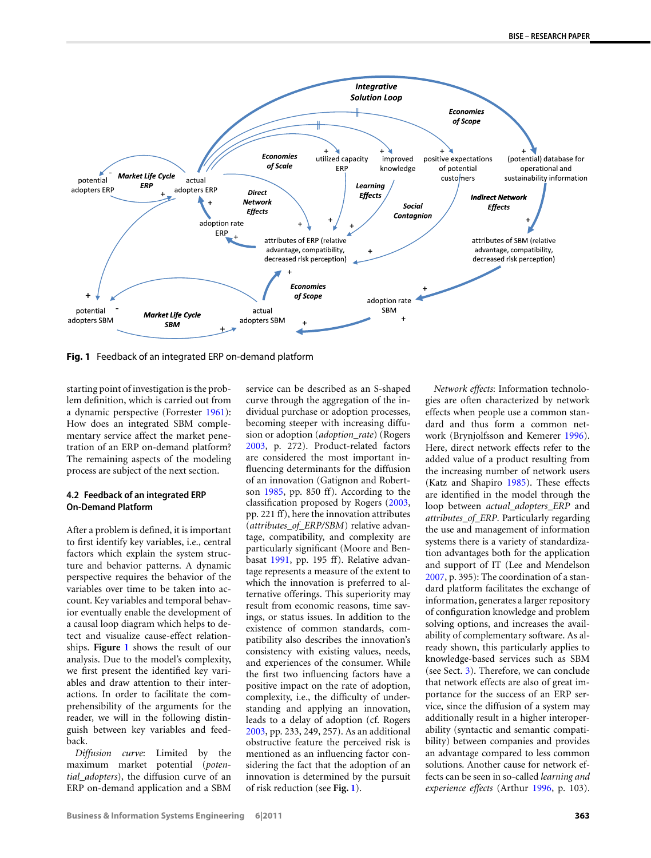

<span id="page-4-0"></span>**Fig. 1** Feedback of an integrated ERP on-demand platform

starting point of investigation is the problem definition, which is carried out from a dynamic perspective (Forrester [1961](#page-7-26)): How does an integrated SBM complementary service affect the market penetration of an ERP on-demand platform? The remaining aspects of the modeling process are subject of the next section.

#### **4.2 Feedback of an integrated ERP On-Demand Platform**

After a problem is defined, it is important to first identify key variables, i.e., central factors which explain the system structure and behavior patterns. A dynamic perspective requires the behavior of the variables over time to be taken into account. Key variables and temporal behavior eventually enable the development of a causal loop diagram which helps to detect and visualize cause-effect relationships. **Figure [1](#page-4-0)** shows the result of our analysis. Due to the model's complexity, we first present the identified key variables and draw attention to their interactions. In order to facilitate the comprehensibility of the arguments for the reader, we will in the following distinguish between key variables and feedback.

*Diffusion curve*: Limited by the maximum market potential (*potential\_adopters*), the diffusion curve of an ERP on-demand application and a SBM

service can be described as an S-shaped curve through the aggregation of the individual purchase or adoption processes, becoming steeper with increasing diffusion or adoption (*adoption\_rate*) (Rogers [2003](#page-8-20), p. 272). Product-related factors are considered the most important influencing determinants for the diffusion of an innovation (Gatignon and Robertson [1985](#page-7-28), pp. 850 ff). According to the classification proposed by Rogers ([2003,](#page-8-20) pp. 221 ff), here the innovation attributes (*attributes\_of\_ERP/SBM*) relative advantage, compatibility, and complexity are particularly significant (Moore and Benbasat [1991](#page-8-21), pp. 195 ff). Relative advantage represents a measure of the extent to which the innovation is preferred to alternative offerings. This superiority may result from economic reasons, time savings, or status issues. In addition to the existence of common standards, compatibility also describes the innovation's consistency with existing values, needs, and experiences of the consumer. While the first two influencing factors have a positive impact on the rate of adoption, complexity, i.e., the difficulty of understanding and applying an innovation, leads to a delay of adoption (cf. Rogers [2003](#page-8-20), pp. 233, 249, 257). As an additional obstructive feature the perceived risk is mentioned as an influencing factor considering the fact that the adoption of an innovation is determined by the pursuit of risk reduction (see **Fig. [1](#page-4-0)**).

*Network effects*: Information technologies are often characterized by network effects when people use a common standard and thus form a common network (Brynjolfsson and Kemerer [1996](#page-7-29)). Here, direct network effects refer to the added value of a product resulting from the increasing number of network users (Katz and Shapiro [1985\)](#page-7-30). These effects are identified in the model through the loop between *actual\_adopters\_ERP* and *attributes\_of\_ERP*. Particularly regarding the use and management of information systems there is a variety of standardization advantages both for the application and support of IT (Lee and Mendelson [2007](#page-8-22), p. 395): The coordination of a standard platform facilitates the exchange of information, generates a larger repository of configuration knowledge and problem solving options, and increases the availability of complementary software. As already shown, this particularly applies to knowledge-based services such as SBM (see Sect. [3](#page-1-0)). Therefore, we can conclude that network effects are also of great importance for the success of an ERP service, since the diffusion of a system may additionally result in a higher interoperability (syntactic and semantic compatibility) between companies and provides an advantage compared to less common solutions. Another cause for network effects can be seen in so-called *learning and experience effects* (Arthur [1996,](#page-7-11) p. 103).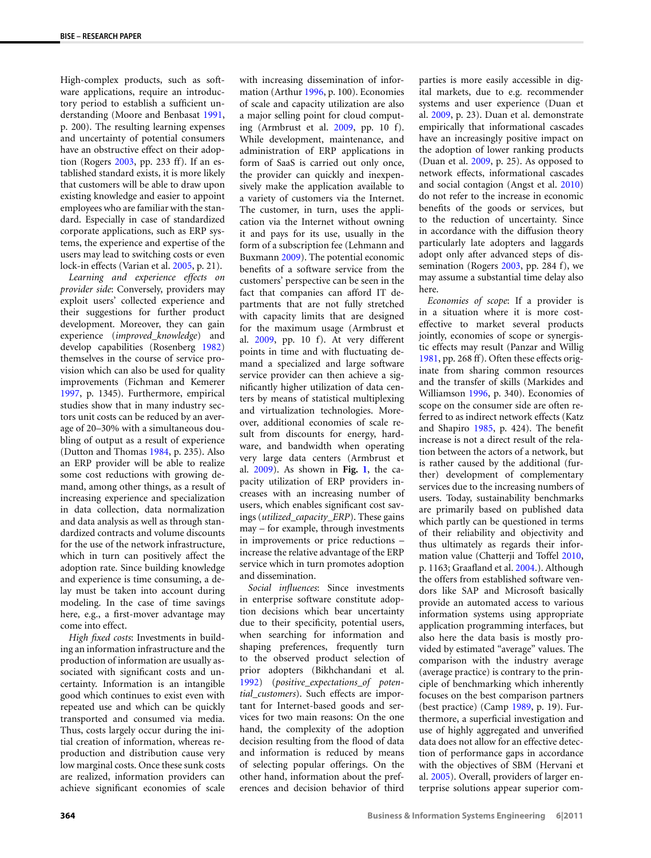High-complex products, such as software applications, require an introductory period to establish a sufficient understanding (Moore and Benbasat [1991,](#page-8-21) p. 200). The resulting learning expenses and uncertainty of potential consumers have an obstructive effect on their adoption (Rogers [2003](#page-8-20), pp. 233 ff). If an established standard exists, it is more likely that customers will be able to draw upon existing knowledge and easier to appoint employees who are familiar with the standard. Especially in case of standardized corporate applications, such as ERP systems, the experience and expertise of the users may lead to switching costs or even lock-in effects (Varian et al. [2005,](#page-8-23) p. 21).

*Learning and experience effects on provider side*: Conversely, providers may exploit users' collected experience and their suggestions for further product development. Moreover, they can gain experience (*improved\_knowledge*) and develop capabilities (Rosenberg [1982](#page-8-24)) themselves in the course of service provision which can also be used for quality improvements (Fichman and Kemerer [1997](#page-7-31), p. 1345). Furthermore, empirical studies show that in many industry sectors unit costs can be reduced by an average of 20–30% with a simultaneous doubling of output as a result of experience (Dutton and Thomas [1984](#page-7-32), p. 235). Also an ERP provider will be able to realize some cost reductions with growing demand, among other things, as a result of increasing experience and specialization in data collection, data normalization and data analysis as well as through standardized contracts and volume discounts for the use of the network infrastructure, which in turn can positively affect the adoption rate. Since building knowledge and experience is time consuming, a delay must be taken into account during modeling. In the case of time savings here, e.g., a first-mover advantage may come into effect.

*High fixed costs*: Investments in building an information infrastructure and the production of information are usually associated with significant costs and uncertainty. Information is an intangible good which continues to exist even with repeated use and which can be quickly transported and consumed via media. Thus, costs largely occur during the initial creation of information, whereas reproduction and distribution cause very low marginal costs. Once these sunk costs are realized, information providers can achieve significant economies of scale with increasing dissemination of information (Arthur [1996,](#page-7-11) p. 100). Economies of scale and capacity utilization are also a major selling point for cloud computing (Armbrust et al. [2009,](#page-7-8) pp. 10 f). While development, maintenance, and administration of ERP applications in form of SaaS is carried out only once, the provider can quickly and inexpensively make the application available to a variety of customers via the Internet. The customer, in turn, uses the application via the Internet without owning it and pays for its use, usually in the form of a subscription fee (Lehmann and Buxmann [2009](#page-8-3)). The potential economic benefits of a software service from the customers' perspective can be seen in the fact that companies can afford IT departments that are not fully stretched with capacity limits that are designed for the maximum usage (Armbrust et al. [2009](#page-7-8), pp. 10 f). At very different points in time and with fluctuating demand a specialized and large software service provider can then achieve a significantly higher utilization of data centers by means of statistical multiplexing and virtualization technologies. Moreover, additional economies of scale result from discounts for energy, hardware, and bandwidth when operating very large data centers (Armbrust et al. [2009](#page-7-8)). As shown in **Fig. [1](#page-4-0)**, the capacity utilization of ERP providers increases with an increasing number of users, which enables significant cost savings (*utilized\_capacity\_ERP*). These gains may – for example, through investments in improvements or price reductions – increase the relative advantage of the ERP service which in turn promotes adoption and dissemination.

*Social influences*: Since investments in enterprise software constitute adoption decisions which bear uncertainty due to their specificity, potential users, when searching for information and shaping preferences, frequently turn to the observed product selection of prior adopters (Bikhchandani et al. [1992](#page-7-33)) (*positive\_expectations\_of potential\_customers*). Such effects are important for Internet-based goods and services for two main reasons: On the one hand, the complexity of the adoption decision resulting from the flood of data and information is reduced by means of selecting popular offerings. On the other hand, information about the preferences and decision behavior of third

parties is more easily accessible in digital markets, due to e.g. recommender systems and user experience (Duan et al. [2009,](#page-7-34) p. 23). Duan et al. demonstrate empirically that informational cascades have an increasingly positive impact on the adoption of lower ranking products (Duan et al. [2009](#page-7-34), p. 25). As opposed to network effects, informational cascades and social contagion (Angst et al. [2010\)](#page-7-35) do not refer to the increase in economic benefits of the goods or services, but to the reduction of uncertainty. Since in accordance with the diffusion theory particularly late adopters and laggards adopt only after advanced steps of dissemination (Rogers [2003,](#page-8-20) pp. 284 f), we may assume a substantial time delay also here.

*Economies of scope*: If a provider is in a situation where it is more costeffective to market several products jointly, economies of scope or synergistic effects may result (Panzar and Willig [1981](#page-8-25), pp. 268 ff). Often these effects originate from sharing common resources and the transfer of skills (Markides and Williamson [1996,](#page-8-16) p. 340). Economies of scope on the consumer side are often referred to as indirect network effects (Katz and Shapiro [1985,](#page-7-30) p. 424). The benefit increase is not a direct result of the relation between the actors of a network, but is rather caused by the additional (further) development of complementary services due to the increasing numbers of users. Today, sustainability benchmarks are primarily based on published data which partly can be questioned in terms of their reliability and objectivity and thus ultimately as regards their information value (Chatterji and Toffel [2010,](#page-7-13) p. 1163; Graafland et al. [2004](#page-7-18).). Although the offers from established software vendors like SAP and Microsoft basically provide an automated access to various information systems using appropriate application programming interfaces, but also here the data basis is mostly provided by estimated "average" values. The comparison with the industry average (average practice) is contrary to the principle of benchmarking which inherently focuses on the best comparison partners (best practice) (Camp [1989,](#page-7-17) p. 19). Furthermore, a superficial investigation and use of highly aggregated and unverified data does not allow for an effective detection of performance gaps in accordance with the objectives of SBM (Hervani et al. [2005](#page-7-15)). Overall, providers of larger enterprise solutions appear superior com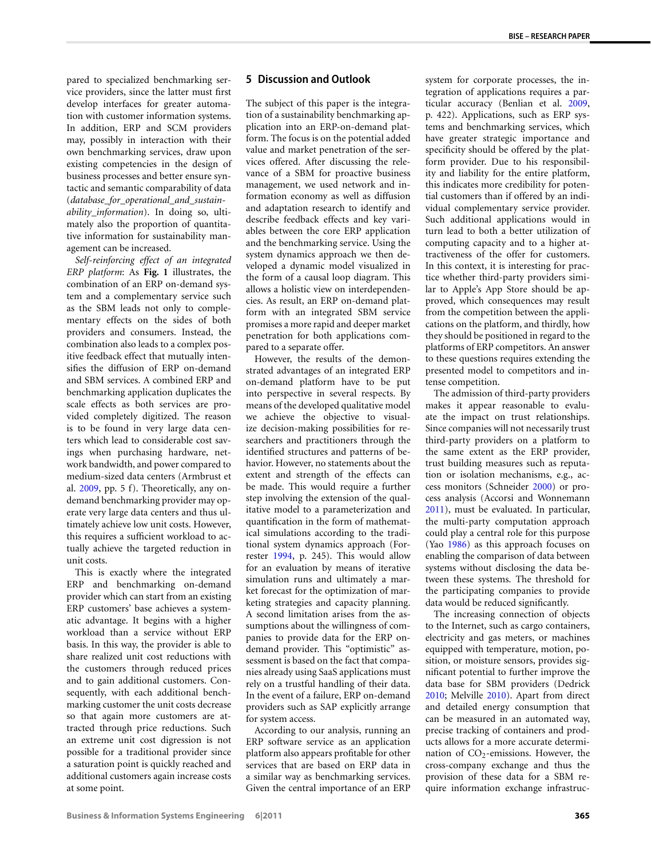pared to specialized benchmarking service providers, since the latter must first develop interfaces for greater automation with customer information systems. In addition, ERP and SCM providers may, possibly in interaction with their own benchmarking services, draw upon existing competencies in the design of business processes and better ensure syntactic and semantic comparability of data (*database\_for\_operational\_and\_sustainability\_information*). In doing so, ultimately also the proportion of quantitative information for sustainability management can be increased.

*Self-reinforcing effect of an integrated ERP platform*: As **Fig. 1** illustrates, the combination of an ERP on-demand system and a complementary service such as the SBM leads not only to complementary effects on the sides of both providers and consumers. Instead, the combination also leads to a complex positive feedback effect that mutually intensifies the diffusion of ERP on-demand and SBM services. A combined ERP and benchmarking application duplicates the scale effects as both services are provided completely digitized. The reason is to be found in very large data centers which lead to considerable cost savings when purchasing hardware, network bandwidth, and power compared to medium-sized data centers (Armbrust et al. [2009,](#page-7-8) pp. 5 f). Theoretically, any ondemand benchmarking provider may operate very large data centers and thus ultimately achieve low unit costs. However, this requires a sufficient workload to actually achieve the targeted reduction in unit costs.

This is exactly where the integrated ERP and benchmarking on-demand provider which can start from an existing ERP customers' base achieves a systematic advantage. It begins with a higher workload than a service without ERP basis. In this way, the provider is able to share realized unit cost reductions with the customers through reduced prices and to gain additional customers. Consequently, with each additional benchmarking customer the unit costs decrease so that again more customers are attracted through price reductions. Such an extreme unit cost digression is not possible for a traditional provider since a saturation point is quickly reached and additional customers again increase costs at some point.

## <span id="page-6-0"></span>**5 Discussion and Outlook**

The subject of this paper is the integration of a sustainability benchmarking application into an ERP-on-demand platform. The focus is on the potential added value and market penetration of the services offered. After discussing the relevance of a SBM for proactive business management, we used network and information economy as well as diffusion and adaptation research to identify and describe feedback effects and key variables between the core ERP application and the benchmarking service. Using the system dynamics approach we then developed a dynamic model visualized in the form of a causal loop diagram. This allows a holistic view on interdependencies. As result, an ERP on-demand platform with an integrated SBM service promises a more rapid and deeper market penetration for both applications compared to a separate offer.

However, the results of the demonstrated advantages of an integrated ERP on-demand platform have to be put into perspective in several respects. By means of the developed qualitative model we achieve the objective to visualize decision-making possibilities for researchers and practitioners through the identified structures and patterns of behavior. However, no statements about the extent and strength of the effects can be made. This would require a further step involving the extension of the qualitative model to a parameterization and quantification in the form of mathematical simulations according to the traditional system dynamics approach (Forrester [1994](#page-7-25), p. 245). This would allow for an evaluation by means of iterative simulation runs and ultimately a market forecast for the optimization of marketing strategies and capacity planning. A second limitation arises from the assumptions about the willingness of companies to provide data for the ERP ondemand provider. This "optimistic" assessment is based on the fact that companies already using SaaS applications must rely on a trustful handling of their data. In the event of a failure, ERP on-demand providers such as SAP explicitly arrange for system access.

According to our analysis, running an ERP software service as an application platform also appears profitable for other services that are based on ERP data in a similar way as benchmarking services. Given the central importance of an ERP

system for corporate processes, the integration of applications requires a particular accuracy (Benlian et al. [2009,](#page-7-0) p. 422). Applications, such as ERP systems and benchmarking services, which have greater strategic importance and specificity should be offered by the platform provider. Due to his responsibility and liability for the entire platform, this indicates more credibility for potential customers than if offered by an individual complementary service provider. Such additional applications would in turn lead to both a better utilization of computing capacity and to a higher attractiveness of the offer for customers. In this context, it is interesting for practice whether third-party providers similar to Apple's App Store should be approved, which consequences may result from the competition between the applications on the platform, and thirdly, how they should be positioned in regard to the platforms of ERP competitors. An answer to these questions requires extending the presented model to competitors and intense competition.

The admission of third-party providers makes it appear reasonable to evaluate the impact on trust relationships. Since companies will not necessarily trust third-party providers on a platform to the same extent as the ERP provider, trust building measures such as reputation or isolation mechanisms, e.g., access monitors (Schneider [2000](#page-8-26)) or process analysis (Accorsi and Wonnemann [2011](#page-7-36)), must be evaluated. In particular, the multi-party computation approach could play a central role for this purpose (Yao [1986](#page-8-27)) as this approach focuses on enabling the comparison of data between systems without disclosing the data between these systems. The threshold for the participating companies to provide data would be reduced significantly.

The increasing connection of objects to the Internet, such as cargo containers, electricity and gas meters, or machines equipped with temperature, motion, position, or moisture sensors, provides significant potential to further improve the data base for SBM providers (Dedrick [2010](#page-7-14); Melville [2010](#page-8-10)). Apart from direct and detailed energy consumption that can be measured in an automated way, precise tracking of containers and products allows for a more accurate determination of  $CO<sub>2</sub>$ -emissions. However, the cross-company exchange and thus the provision of these data for a SBM require information exchange infrastruc-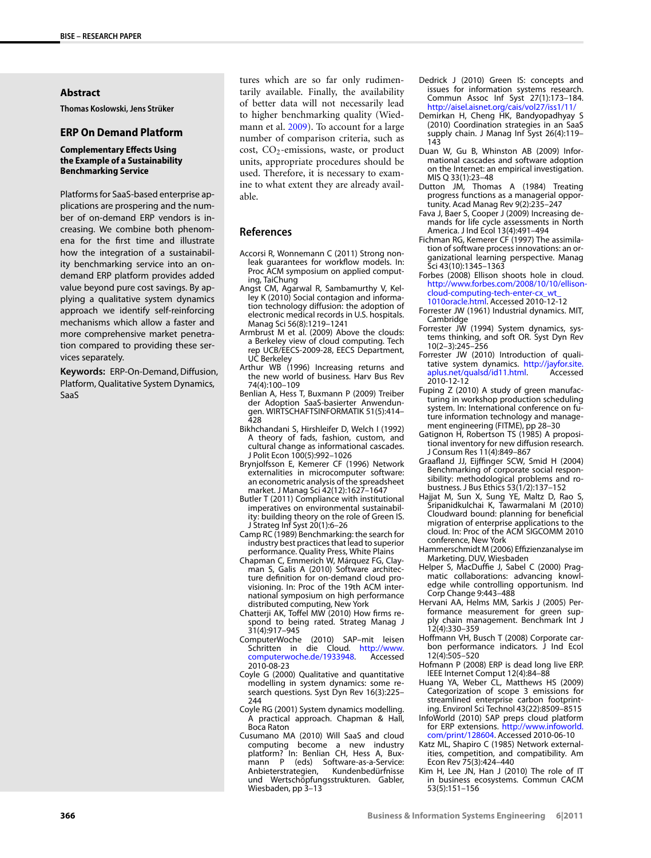#### **Abstract**

**Thomas Koslowski, Jens Strüker**

#### **ERP On Demand Platform**

#### <span id="page-7-36"></span>**Complementary Effects Using the Example of a Sustainability Benchmarking Service**

Platforms for SaaS-based enterprise applications are prospering and the number of on-demand ERP vendors is increasing. We combine both phenomena for the first time and illustrate how the integration of a sustainability benchmarking service into an ondemand ERP platform provides added value beyond pure cost savings. By applying a qualitative system dynamics approach we identify self-reinforcing mechanisms which allow a faster and more comprehensive market penetration compared to providing these services separately.

**Keywords:** ERP-On-Demand, Diffusion, Platform, Qualitative System Dynamics, SaaS

tures which are so far only rudimentarily available. Finally, the availability of better data will not necessarily lead to higher benchmarking quality (Wiedmann et al. [2009\)](#page-8-12). To account for a large number of comparison criteria, such as cost,  $CO_2$ -emissions, waste, or product units, appropriate procedures should be used. Therefore, it is necessary to examine to what extent they are already available.

#### <span id="page-7-35"></span><span id="page-7-8"></span>**References**

- <span id="page-7-11"></span>Accorsi R, Wonnemann C (2011) Strong nonleak guarantees for workflow models. In: Proc ACM symposium on applied computing, TaiChung
- <span id="page-7-0"></span>Angst CM, Agarwal R, Sambamurthy V, Kelley K (2010) Social contagion and information technology diffusion: the adoption of electronic medical records in U.S. hospitals. Manag Sci 56(8):1219–1241
- <span id="page-7-33"></span>Armbrust M et al. (2009) Above the clouds: a Berkeley view of cloud computing. Tech rep UCB/EECS-2009-28, EECS Department, UC Berkeley
- <span id="page-7-29"></span>Arthur WB (1996) Increasing returns and the new world of business. Harv Bus Rev 74(4):100–109
- <span id="page-7-20"></span>Benlian A, Hess T, Buxmann P (2009) Treiber der Adoption SaaS-basierter Anwendungen. WIRTSCHAFTSINFORMATIK 51(5):414– 428
- <span id="page-7-17"></span>Bikhchandani S, Hirshleifer D, Welch I (1992) A theory of fads, fashion, custom, and cultural change as informational cascades. J Polit Econ 100(5):992–1026
- <span id="page-7-6"></span>Brynjolfsson E, Kemerer CF (1996) Network externalities in microcomputer software: an econometric analysis of the spreadsheet market. J Manag Sci 42(12):1627–1647
- <span id="page-7-13"></span>Butler T (2011) Compliance with institutional imperatives on environmental sustainability: building theory on the role of Green IS. J Strateg Inf Syst 20(1):6–26
- <span id="page-7-3"></span>Camp RC (1989) Benchmarking: the search for industry best practices that lead to superior performance. Quality Press, White Plains
- <span id="page-7-27"></span>Chapman C, Emmerich W, Márquez FG, Clayman S, Galis A (2010) Software architecture definition for on-demand cloud provisioning. In: Proc of the 19th ACM international symposium on high performance distributed computing, New York
- <span id="page-7-23"></span>Chatterji AK, Toffel MW (2010) How firms respond to being rated. Strateg Manag J 31(4):917–945
- <span id="page-7-9"></span>(2010) SAP-mit leisen Schritten in die Cloud. [http://www.](http://www.computerwoche.de/1933948)<br>computerwoche.de/1933948. Accessed [computerwoche.de/1933948.](http://www.computerwoche.de/1933948) 2010-08-23
- Coyle G (2000) Qualitative and quantitative modelling in system dynamics: some research questions. Syst Dyn Rev 16(3):225-244
- Coyle RG (2001) System dynamics modelling. A practical approach. Chapman & Hall, Boca Raton
- Cusumano MA (2010) Will SaaS and cloud computing become a new industry platform? In: Benlian CH, Hess A, Buxmann P (eds) Software-as-a-Service:<br>Anhieterstrategien Kundenhedürfnisse Anbieterstrategien, und Wertschöpfungsstrukturen. Gabler, Wiesbaden, pp 3-13
- <span id="page-7-34"></span><span id="page-7-32"></span><span id="page-7-14"></span><span id="page-7-7"></span>Dedrick J (2010) Green IS: concepts and issues for information systems research. Commun Assoc Inf Syst 27(1):173–184. <http://aisel.aisnet.org/cais/vol27/iss1/11/>
- <span id="page-7-19"></span>Demirkan H, Cheng HK, Bandyopadhyay S (2010) Coordination strategies in an SaaS supply chain. J Manag Inf Syst 26(4):119– 143
- <span id="page-7-31"></span>Duan W, Gu B, Whinston AB (2009) Informational cascades and software adoption on the Internet: an empirical investigation. MIS Q 33(1):23–48
- <span id="page-7-1"></span>Dutton JM, Thomas A (1984) Treating progress functions as a managerial opportunity. Acad Manag Rev 9(2):235–247
- <span id="page-7-26"></span>Fava J, Baer S, Cooper J (2009) Increasing demands for life cycle assessments in North America. J Ind Ecol 13(4):491–494
- <span id="page-7-25"></span><span id="page-7-24"></span>Fichman RG, Kemerer CF (1997) The assimilation of software process innovations: an organizational learning perspective. Manag Sci 43(10):1345–1363
- Forbes (2008) Ellison shoots hole in cloud. [http://www.forbes.com/2008/10/10/ellison](http://www.forbes.com/2008/10/10/ellison-cloud-computing-tech-enter-cx_wt_1010oracle.html)[cloud-computing-tech-enter-cx\\_wt\\_](http://www.forbes.com/2008/10/10/ellison-cloud-computing-tech-enter-cx_wt_1010oracle.html) [1010oracle.html.](http://www.forbes.com/2008/10/10/ellison-cloud-computing-tech-enter-cx_wt_1010oracle.html) Accessed 2010-12-12
- <span id="page-7-21"></span>Forrester JW (1961) Industrial dynamics. MIT, **Cambridge**
- <span id="page-7-28"></span>Forrester JW (1994) System dynamics, systems thinking, and soft OR. Syst Dyn Rev 10(2–3):245–256
- <span id="page-7-18"></span>Forrester JW (2010) Introduction of qualitative system dynamics. [http://jayfor.site.](http://jayfor.site.aplus.net/qualsd/id11.html)<br>aplus.net/qualsd/id11.html. Accessed [aplus.net/qualsd/id11.html](http://jayfor.site.aplus.net/qualsd/id11.html). 2010-12-12
- <span id="page-7-5"></span>Fuping Z (2010) A study of green manufacturing in workshop production scheduling system. In: International conference on future information technology and management engineering (FITME), pp 28-30
- Gatignon H, Robertson TS (1985) A propositional inventory for new diffusion research. J Consum Res 11(4):849–867
- <span id="page-7-22"></span><span id="page-7-16"></span>Graafland JJ, Eijffinger SCW, Smid H (2004) Benchmarking of corporate social responsibility: methodological problems and robustness. J Bus Ethics 53(1/2):137–152
- <span id="page-7-15"></span>Hajjat M, Sun X, Sung YE, Maltz D, Rao S, Sripanidkulchai K, Tawarmalani M (2010) Cloudward bound: planning for beneficial migration of enterprise applications to the cloud. In: Proc of the ACM SIGCOMM 2010 conference, New York
- <span id="page-7-12"></span>Hammerschmidt M (2006) Effizienzanalyse im Marketing. DUV, Wiesbaden
- <span id="page-7-4"></span>Helper S, MacDuffie J, Sabel C (2000) Pragmatic collaborations: advancing knowledge while controlling opportunism. Ind Corp Change 9:443–488
- Hervani AA, Helms MM, Sarkis J (2005) Performance measurement for green supply chain management. Benchmark Int J 12(4):330–359
- <span id="page-7-30"></span><span id="page-7-2"></span>Hoffmann VH, Busch T (2008) Corporate carbon performance indicators. J Ind Ecol 12(4):505–520
- Hofmann P (2008) ERP is dead long live ERP. IEEE Internet Comput 12(4):84–88
- <span id="page-7-10"></span>Huang YA, Weber CL, Matthews HS (2009) Categorization of scope 3 emissions for streamlined enterprise carbon footprinting. Environl Sci Technol 43(22):8509–8515
- InfoWorld (2010) SAP preps cloud platform for ERP extensions. [http://www.infoworld.](http://www.infoworld.com/print/128604) [com/print/128604.](http://www.infoworld.com/print/128604) Accessed 2010-06-10
- Katz ML, Shapiro C (1985) Network externalities, competition, and compatibility. Am Econ Rev 75(3):424–440
- Kim H, Lee JN, Han J (2010) The role of IT in business ecosystems. Commun CACM 53(5):151–156